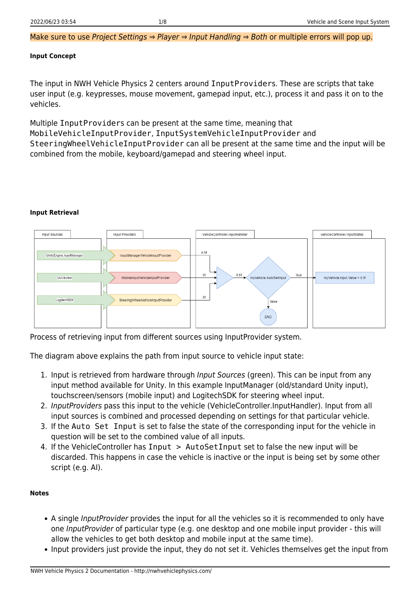Make sure to use Project Settings ⇒ Player ⇒ Input Handling ⇒ Both or multiple errors will pop up.

#### **Input Concept**

The input in NWH Vehicle Physics 2 centers around InputProviders. These are scripts that take user input (e.g. keypresses, mouse movement, gamepad input, etc.), process it and pass it on to the vehicles.

Multiple InputProviders can be present at the same time, meaning that MobileVehicleInputProvider, InputSystemVehicleInputProvider and SteeringWheelVehicleInputProvider can all be present at the same time and the input will be combined from the mobile, keyboard/gamepad and steering wheel input.

#### **Input Retrieval**



Process of retrieving input from different sources using InputProvider system.

The diagram above explains the path from input source to vehicle input state:

- 1. Input is retrieved from hardware through *Input Sources* (green). This can be input from any input method available for Unity. In this example InputManager (old/standard Unity input), touchscreen/sensors (mobile input) and LogitechSDK for steering wheel input.
- 2. InputProviders pass this input to the vehicle (VehicleController.InputHandler). Input from all input sources is combined and processed depending on settings for that particular vehicle.
- 3. If the Auto Set Input is set to false the state of the corresponding input for the vehicle in question will be set to the combined value of all inputs.
- 4. If the VehicleController has Input > AutoSetInput set to false the new input will be discarded. This happens in case the vehicle is inactive or the input is being set by some other script (e.g. AI).

#### **Notes**

- A single InputProvider provides the input for all the vehicles so it is recommended to only have one InputProvider of particular type (e.g. one desktop and one mobile input provider - this will allow the vehicles to get both desktop and mobile input at the same time).
- Input providers just provide the input, they do not set it. Vehicles themselves get the input from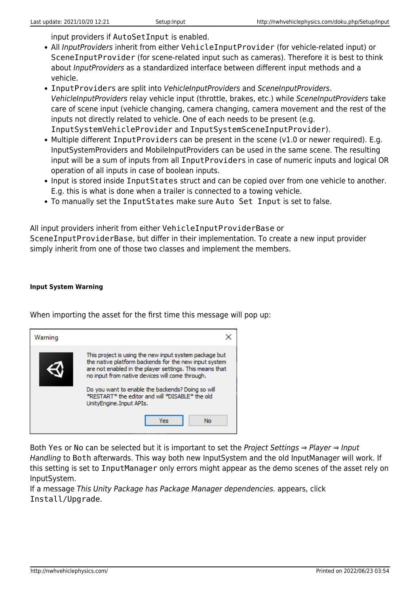input providers if AutoSetInput is enabled.

- All InputProviders inherit from either VehicleInputProvider (for vehicle-related input) or SceneInputProvider (for scene-related input such as cameras). Therefore it is best to think about InputProviders as a standardized interface between different input methods and a vehicle.
- InputProviders are split into VehicleInputProviders and SceneInputProviders. VehicleInputProviders relay vehicle input (throttle, brakes, etc.) while SceneInputProviders take care of scene input (vehicle changing, camera changing, camera movement and the rest of the inputs not directly related to vehicle. One of each needs to be present (e.g. InputSystemVehicleProvider and InputSystemSceneInputProvider).
- Multiple different InputProviders can be present in the scene (v1.0 or newer required). E.g. InputSystemProviders and MobileInputProviders can be used in the same scene. The resulting input will be a sum of inputs from all InputProviders in case of numeric inputs and logical OR operation of all inputs in case of boolean inputs.
- Input is stored inside InputStates struct and can be copied over from one vehicle to another. E.g. this is what is done when a trailer is connected to a towing vehicle.
- To manually set the InputStates make sure Auto Set Input is set to false.

All input providers inherit from either VehicleInputProviderBase or SceneInputProviderBase, but differ in their implementation. To create a new input provider simply inherit from one of those two classes and implement the members.

#### **Input System Warning**

When importing the asset for the first time this message will pop up:



Both Yes or No can be selected but it is important to set the Project Settings ⇒ Player ⇒ Input Handling to Both afterwards. This way both new InputSystem and the old InputManager will work. If this setting is set to InputManager only errors might appear as the demo scenes of the asset rely on InputSystem.

If a message This Unity Package has Package Manager dependencies. appears, click Install/Upgrade.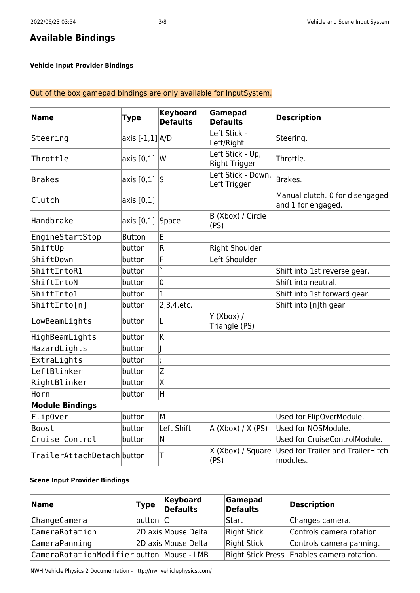# **Available Bindings**

### **Vehicle Input Provider Bindings**

## Out of the box gamepad bindings are only available for InputSystem.

| <b>Name</b>                | <b>Type</b>         | <b>Keyboard</b><br><b>Defaults</b> | Gamepad<br><b>Defaults</b>               | <b>Description</b>                                    |
|----------------------------|---------------------|------------------------------------|------------------------------------------|-------------------------------------------------------|
| Steering                   | axis $[-1,1]$ $A/D$ |                                    | Left Stick -<br>Left/Right               | Steering.                                             |
| Throttle                   | axis [0,1]          | $\mathsf{W}$                       | Left Stick - Up,<br><b>Right Trigger</b> | Throttle.                                             |
| <b>Brakes</b>              | axis $[0,1]$ S      |                                    | Left Stick - Down,<br>Left Trigger       | Brakes.                                               |
| Clutch                     | axis [0,1]          |                                    |                                          | Manual clutch. 0 for disengaged<br>and 1 for engaged. |
| Handbrake                  | axis $[0,1]$ Space  |                                    | B (Xbox) / Circle<br>(PS)                |                                                       |
| EngineStartStop            | <b>Button</b>       | E                                  |                                          |                                                       |
| ShiftUp                    | button              | $\overline{R}$                     | Right Shoulder                           |                                                       |
| ShiftDown                  | button              | F                                  | Left Shoulder                            |                                                       |
| ShiftIntoR1                | button              |                                    |                                          | Shift into 1st reverse gear.                          |
| ShiftIntoN                 | button              | $\overline{0}$                     |                                          | Shift into neutral.                                   |
| ShiftInto1                 | button              | $\overline{1}$                     |                                          | Shift into 1st forward gear.                          |
| ShiftInto[n]               | button              | 2,3,4,etc.                         |                                          | Shift into [n]th gear.                                |
| LowBeamLights              | button              | L                                  | $Y$ (Xbox) /<br>Triangle (PS)            |                                                       |
| HighBeamLights             | button              | K                                  |                                          |                                                       |
| HazardLights               | button              |                                    |                                          |                                                       |
| ExtraLights                | button              |                                    |                                          |                                                       |
| LeftBlinker                | button              | Z                                  |                                          |                                                       |
| RightBlinker               | button              | X                                  |                                          |                                                       |
| Horn                       | button              | $\overline{H}$                     |                                          |                                                       |
| <b>Module Bindings</b>     |                     |                                    |                                          |                                                       |
| Flip0ver                   | button              | M                                  |                                          | Used for FlipOverModule.                              |
| <b>Boost</b>               | button              | Left Shift                         | A $(Xbox) / X (PS)$                      | Used for NOSModule.                                   |
| Cruise Control             | button              | N                                  |                                          | Used for CruiseControlModule.                         |
| TrailerAttachDetach button |                     | Τ                                  | X (Xbox) / Square<br>(PS)                | Used for Trailer and TrailerHitch<br>modules.         |

#### **Scene Input Provider Bindings**

| <b>Name</b>                               | Type             | Keyboard<br><b>Defaults</b> | Gamepad<br><b>Defaults</b> | Description                                |
|-------------------------------------------|------------------|-----------------------------|----------------------------|--------------------------------------------|
| ChangeCamera                              | $ $ button $ C $ |                             | Start                      | Changes camera.                            |
| CameraRotation                            |                  | 2D axis Mouse Delta         | Right Stick                | Controls camera rotation.                  |
| CameraPanning                             |                  | 2D axis Mouse Delta         | Right Stick                | Controls camera panning.                   |
| CameraRotationModifier button Mouse - LMB |                  |                             |                            | Right Stick Press Enables camera rotation. |

NWH Vehicle Physics 2 Documentation - http://nwhvehiclephysics.com/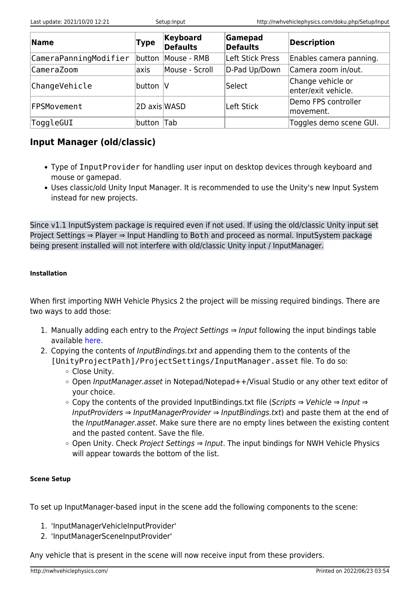| <b>Name</b>           | Type         | Keyboard<br><b>Defaults</b> | Gamepad<br><b>Defaults</b> | Description                              |
|-----------------------|--------------|-----------------------------|----------------------------|------------------------------------------|
| CameraPanningModifier | button       | Mouse - RMB                 | Left Stick Press           | Enables camera panning.                  |
| CameraZoom            | axis         | Mouse - Scroll              | D-Pad Up/Down              | Camera zoom in/out.                      |
| ChangeVehicle         | button  V    |                             | Select                     | Change vehicle or<br>enter/exit vehicle. |
| FPSMovement           | 2D axis WASD |                             | Left Stick                 | Demo FPS controller<br>movement.         |
| ToggleGUI             | button       | Tab                         |                            | Toggles demo scene GUI.                  |

## **Input Manager (old/classic)**

- Type of InputProvider for handling user input on desktop devices through keyboard and mouse or gamepad.
- Uses classic/old Unity Input Manager. It is recommended to use the Unity's new Input System instead for new projects.

Since v1.1 InputSystem package is required even if not used. If using the old/classic Unity input set Project Settings ⇒ Player ⇒ Input Handling to Both and proceed as normal. InputSystem package being present installed will not interfere with old/classic Unity input / InputManager.

## **Installation**

When first importing NWH Vehicle Physics 2 the project will be missing required bindings. There are two ways to add those:

- 1. Manually adding each entry to the Project Settings  $\Rightarrow$  Input following the input bindings table available [here.](http://nwhvehiclephysics.com/doku.php/NWH/VehiclePhysics2/Input/Input)
- 2. Copying the contents of InputBindings.txt and appending them to the contents of the [UnityProjectPath]/ProjectSettings/InputManager.asset file. To do so:
	- Close Unity.
	- $\circ$  Open InputManager.asset in Notepad/Notepad++/Visual Studio or any other text editor of your choice.
	- Copy the contents of the provided InputBindings.txt file (Scripts ⇒ Vehicle ⇒ Input ⇒ InputProviders ⇒ InputManagerProvider ⇒ InputBindings.txt) and paste them at the end of the InputManager.asset. Make sure there are no empty lines between the existing content and the pasted content. Save the file.
	- o Open Unity. Check Project Settings ⇒ Input. The input bindings for NWH Vehicle Physics will appear towards the bottom of the list.

## **Scene Setup**

To set up InputManager-based input in the scene add the following components to the scene:

- 1. 'InputManagerVehicleInputProvider'
- 2. 'InputManagerSceneInputProvider'

Any vehicle that is present in the scene will now receive input from these providers.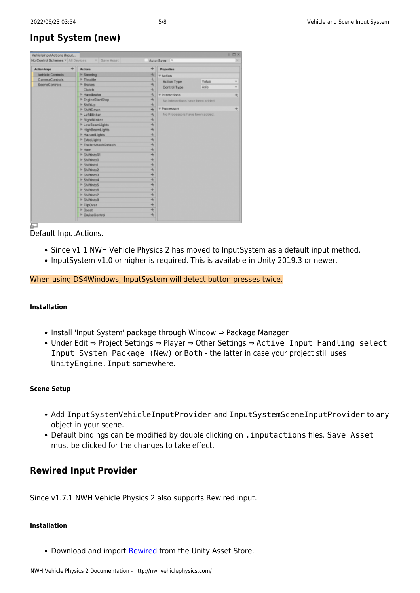## **Input System (new)**

| $\ddot{}$<br><b>Action Maps</b>        | Actions                            | $\ddot{}$<br>Properties |                                                                                  |      |     |  |  |
|----------------------------------------|------------------------------------|-------------------------|----------------------------------------------------------------------------------|------|-----|--|--|
| <b>Vehicle Controls</b>                | $>$ Steering                       | ÷.                      | <b>T Action</b>                                                                  |      |     |  |  |
| CameraControls<br><b>SceneControls</b> | <b>IF Throttle</b>                 | ÷,                      | Value<br>Action Type                                                             |      |     |  |  |
|                                        | <b>I</b> -Brakes                   | ÷.<br>÷,                | Control Type                                                                     | Axis |     |  |  |
|                                        | Clutch<br>I <sup>E</sup> Handbrake | ÷.                      |                                                                                  |      | $+$ |  |  |
|                                        |                                    | ÷.                      | <b>V</b> Interactions<br>No Interactions have been added.<br><b>T Processors</b> |      |     |  |  |
|                                        | ▶ EngineStartStop<br>IF ShiftUp    | ÷.                      |                                                                                  |      |     |  |  |
|                                        | ll- ShiftDown                      | $+$                     |                                                                                  |      |     |  |  |
|                                        | <b>IF LeftBlinker</b>              | ÷.                      | No Processors have been added.                                                   |      |     |  |  |
|                                        | <b>► RightBlinker</b>              | ÷.                      |                                                                                  |      |     |  |  |
|                                        | ▶ LowBeamLights                    | ÷.                      |                                                                                  |      |     |  |  |
|                                        | ▶ HighBeamLights                   | 4,                      |                                                                                  |      |     |  |  |
|                                        | <b>▶ HazardLights</b>              | Ŧ.                      |                                                                                  |      |     |  |  |
|                                        | ▶ ExtraLights                      | ÷.                      |                                                                                  |      |     |  |  |
|                                        | <sup>I</sup> TrailerAttachDetach   | $+$                     |                                                                                  |      |     |  |  |
|                                        | $F$ Hom                            | ÷.                      |                                                                                  |      |     |  |  |
|                                        | IF ShiftintoR1                     | $+$                     |                                                                                  |      |     |  |  |
|                                        | IF ShiftIntoD                      | ÷.                      |                                                                                  |      |     |  |  |
|                                        | IF Shiftinto1                      | $+$                     |                                                                                  |      |     |  |  |
|                                        | IF Shiftinto2                      | ÷.                      |                                                                                  |      |     |  |  |
|                                        | IF Shiftinto3                      | $+$                     |                                                                                  |      |     |  |  |
|                                        | IF Shiftinto4                      | ÷.                      |                                                                                  |      |     |  |  |
|                                        | IF Shiftinto5                      | $+$                     |                                                                                  |      |     |  |  |
|                                        | IF Shiftinto6                      | ÷.                      |                                                                                  |      |     |  |  |
|                                        | IF ShiftInto7                      | ÷.                      |                                                                                  |      |     |  |  |
|                                        | IF ShiftintoB                      | Ŧ.                      |                                                                                  |      |     |  |  |
|                                        | <b>FlipOver</b>                    | $+$                     |                                                                                  |      |     |  |  |
|                                        | I <sup>P</sup> Boost               | ÷.                      |                                                                                  |      |     |  |  |
|                                        | ▶ CruiseControl                    | $+$                     |                                                                                  |      |     |  |  |

Default InputActions.

- Since v1.1 NWH Vehicle Physics 2 has moved to InputSystem as a default input method.
- InputSystem v1.0 or higher is required. This is available in Unity 2019.3 or newer.

## When using DS4Windows, InputSystem will detect button presses twice.

### **Installation**

- Install 'Input System' package through Window ⇒ Package Manager
- Under Edit ⇒ Project Settings ⇒ Player ⇒ Other Settings ⇒ Active Input Handling select Input System Package (New) or Both - the latter in case your project still uses UnityEngine.Input somewhere.

### **Scene Setup**

- Add InputSystemVehicleInputProvider and InputSystemSceneInputProvider to any object in your scene.
- Default bindings can be modified by double clicking on . inputactions files. Save Asset must be clicked for the changes to take effect.

## **Rewired Input Provider**

Since v1.7.1 NWH Vehicle Physics 2 also supports Rewired input.

### **Installation**

• Download and import [Rewired](https://assetstore.unity.com/packages/tools/utilities/rewired-21676) from the Unity Asset Store.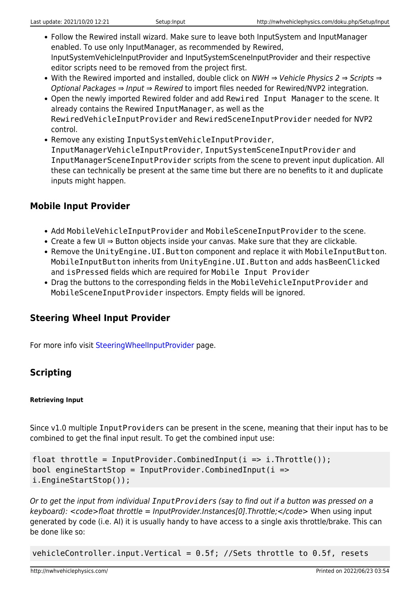- Follow the Rewired install wizard. Make sure to leave both InputSystem and InputManager enabled. To use only InputManager, as recommended by Rewired, InputSystemVehicleInputProvider and InputSystemSceneInputProvider and their respective editor scripts need to be removed from the project first.
- With the Rewired imported and installed, double click on NWH ⇒ Vehicle Physics 2 ⇒ Scripts ⇒ Optional Packages ⇒ Input ⇒ Rewired to import files needed for Rewired/NVP2 integration.
- Open the newly imported Rewired folder and add Rewired Input Manager to the scene. It already contains the Rewired InputManager, as well as the RewiredVehicleInputProvider and RewiredSceneInputProvider needed for NVP2 control.
- Remove any existing InputSystemVehicleInputProvider, InputManagerVehicleInputProvider, InputSystemSceneInputProvider and InputManagerSceneInputProvider scripts from the scene to prevent input duplication. All these can technically be present at the same time but there are no benefits to it and duplicate inputs might happen.

## **Mobile Input Provider**

- Add MobileVehicleInputProvider and MobileSceneInputProvider to the scene.
- Create a few UI ⇒ Button objects inside your canvas. Make sure that they are clickable.
- Remove the UnityEngine.UI.Button component and replace it with MobileInputButton. MobileInputButton inherits from UnityEngine.UI.Button and adds hasBeenClicked and isPressed fields which are required for Mobile Input Provider
- Drag the buttons to the corresponding fields in the MobileVehicleInputProvider and MobileSceneInputProvider inspectors. Empty fields will be ignored.

## **Steering Wheel Input Provider**

For more info visit [SteeringWheelInputProvider](http://nwhvehiclephysics.com/doku.php/NWH/VehiclePhysics2/Input/SteeringWheelInputProvider) page.

## **Scripting**

## **Retrieving Input**

Since v1.0 multiple InputProviders can be present in the scene, meaning that their input has to be combined to get the final input result. To get the combined input use:

```
float throttle = InputProvider.CombinedInput(i => i.Throttle());
bool engineStartStop = InputProvider.CombinedInput(i =>
i.EngineStartStop());
```
Or to get the input from individual *InputProvider*s (say to find out if a button was pressed on a  $keyboard$ : <code>float throttle = InputProvider.Instances[0].Throttle;</code> When using input generated by code (i.e. AI) it is usually handy to have access to a single axis throttle/brake. This can be done like so:

vehicleController.input.Vertical = 0.5f; //Sets throttle to 0.5f, resets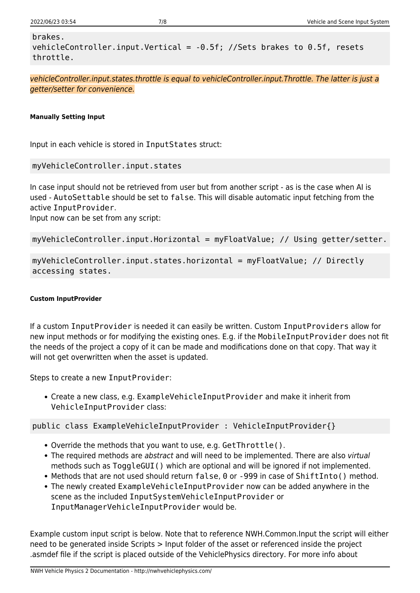```
brakes.
vehicleController.input.Vertical = -0.5f; //Sets brakes to 0.5f, resets
throttle.
```
vehicleController.input.states.throttle is equal to vehicleController.input.Throttle. The latter is just a getter/setter for convenience.

### **Manually Setting Input**

Input in each vehicle is stored in InputStates struct:

```
myVehicleController.input.states
```
In case input should not be retrieved from user but from another script - as is the case when AI is used - AutoSettable should be set to false. This will disable automatic input fetching from the active InputProvider.

Input now can be set from any script:

```
myVehicleController.input.Horizontal = myFloatValue; // Using getter/setter.
```

```
myVehicleController.input.states.horizontal = myFloatValue; // Directly
accessing states.
```
### **Custom InputProvider**

If a custom InputProvider is needed it can easily be written. Custom InputProviders allow for new input methods or for modifying the existing ones. E.g. if the MobileInputProvider does not fit the needs of the project a copy of it can be made and modifications done on that copy. That way it will not get overwritten when the asset is updated.

Steps to create a new InputProvider:

Create a new class, e.g. ExampleVehicleInputProvider and make it inherit from VehicleInputProvider class:

public class ExampleVehicleInputProvider : VehicleInputProvider{}

- Override the methods that you want to use, e.g. GetThrottle().
- The required methods are abstract and will need to be implemented. There are also virtual methods such as ToggleGUI() which are optional and will be ignored if not implemented.
- Methods that are not used should return false, 0 or -999 in case of ShiftInto() method.
- The newly created ExampleVehicleInputProvider now can be added anywhere in the scene as the included InputSystemVehicleInputProvider or InputManagerVehicleInputProvider would be.

Example custom input script is below. Note that to reference NWH.Common.Input the script will either need to be generated inside Scripts > Input folder of the asset or referenced inside the project .asmdef file if the script is placed outside of the VehiclePhysics directory. For more info about